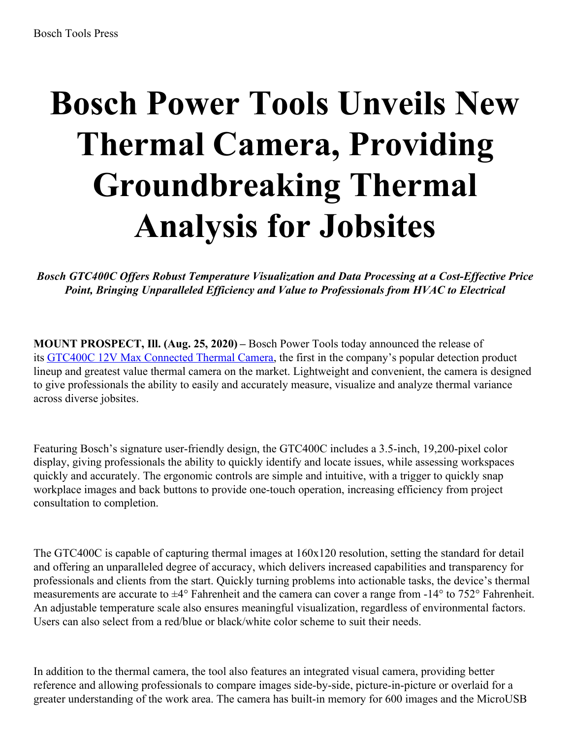## **Bosch Power Tools Unveils New Thermal Camera, Providing Groundbreaking Thermal Analysis for Jobsites**

*Bosch GTC400C Of ers Robust Temperature Visualization and Data Processing at a Cost-Ef ective Price Point, Bringing Unparalleled Ef iciency and Value to Professionals from HVAC to Electrical*

**MOUNT PROSPECT, Ill. (Aug. 25, 2020) –** Bosch Power Tools today announced the release of its GTC400C 12V Max [Connected](applewebdata://873459a8-e1f3-473a-a0b3-6759ca08960b/Bosch Power Tools Unveils New Thermal Camera, Providing Groundbreaking Thermal Analysis for Jobsites) Thermal Camera, the first in the company's popular detection product lineup and greatest value thermal camera on the market. Lightweight and convenient, the camera is designed to give professionals the ability to easily and accurately measure, visualize and analyze thermal variance across diverse jobsites.

Featuring Bosch's signature user-friendly design, the GTC400C includes a 3.5-inch, 19,200-pixel color display, giving professionals the ability to quickly identify and locate issues, while assessing workspaces quickly and accurately. The ergonomic controls are simple and intuitive, with a trigger to quickly snap workplace images and back buttons to provide one-touch operation, increasing efficiency from project consultation to completion.

The GTC400C is capable of capturing thermal images at 160x120 resolution, setting the standard for detail and offering an unparalleled degree of accuracy, which delivers increased capabilities and transparency for professionals and clients from the start. Quickly turning problems into actionable tasks, the device's thermal measurements are accurate to ±4° Fahrenheit and the camera can cover a range from -14° to 752° Fahrenheit. An adjustable temperature scale also ensures meaningful visualization, regardless of environmental factors. Users can also select from a red/blue or black/white color scheme to suit their needs.

In addition to the thermal camera, the tool also features an integrated visual camera, providing better reference and allowing professionals to compare images side-by-side, picture-in-picture or overlaid for a greater understanding of the work area. The camera has built-in memory for 600 images and the MicroUSB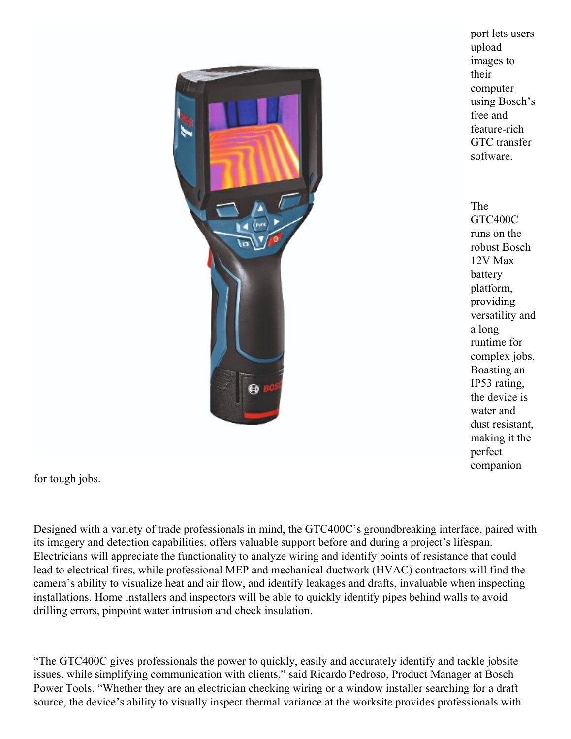

port lets users upload images to their computer using Bosch's free and feature-rich GTC transfer software.

The GTC400C runs on the robust Bosch 12V Max battery platform, providing versatility and a long runtime for complex jobs. Boasting an IP53 rating, the device is water and dust resistant, making it the perfect companion

for tough jobs.

Designed with a variety of trade professionals in mind, the GTC400C's groundbreaking interface, paired with its imagery and detection capabilities, offers valuable support before and during a project's lifespan. Electricians will appreciate the functionality to analyze wiring and identify points of resistance that could lead to electrical fires, while professional MEP and mechanical ductwork (HVAC) contractors will find the camera's ability to visualize heat and air flow, and identify leakages and drafts, invaluable when inspecting installations. Home installers and inspectors will be able to quickly identify pipes behind walls to avoid drilling errors, pinpoint water intrusion and check insulation.

"The GTC400C gives professionals the power to quickly, easily and accurately identify and tackle jobsite issues, while simplifying communication with clients," said Ricardo Pedroso, Product Manager at Bosch Power Tools. "Whether they are an electrician checking wiring or a window installer searching for a draft source, the device's ability to visually inspect thermal variance at the worksite provides professionals with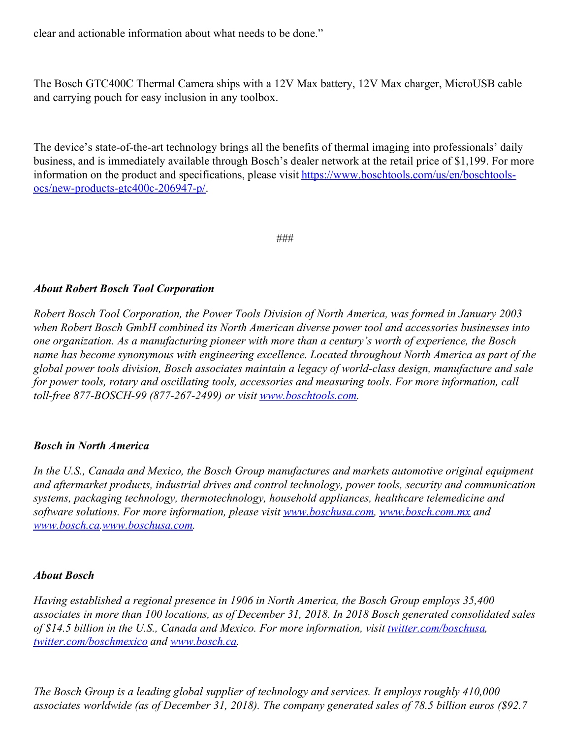clear and actionable information about what needs to be done."

The Bosch GTC400C Thermal Camera ships with a 12V Max battery, 12V Max charger, MicroUSB cable and carrying pouch for easy inclusion in any toolbox.

The device's state-of-the-art technology brings all the benefits of thermal imaging into professionals' daily business, and is immediately available through Bosch's dealer network at the retail price of \$1,199. For more information on the product and specifications, please visit [https://www.boschtools.com/us/en/boschtools](https://www.boschtools.com/us/en/boschtools-ocs/new-products-gtc400c-206947-p/)ocs/new-products-gtc400c-206947-p/.

###

## *About Robert Bosch Tool Corporation*

*Robert Bosch Tool Corporation, the Power Tools Division of North America, was formed in January 2003 when Robert Bosch GmbH combined its North American diverse power tool and accessories businesses into one organization. As a manufacturing pioneer with more than a century's worth of experience, the Bosch name has become synonymous with engineering excellence. Located throughout North America as part of the global power tools division, Bosch associates maintain a legacy of world-class design, manufacture and sale for power tools, rotary and oscillating tools, accessories and measuring tools. For more information, call toll-free 877-BOSCH-99 (877-267-2499) or visit [www.boschtools.com](http://www.boschtools.com/).*

## *Bosch in North America*

*In the U.S., Canada and Mexico, the Bosch Group manufactures and markets automotive original equipment and aftermarket products, industrial drives and control technology, power tools, security and communication systems, packaging technology, thermotechnology, household appliances, healthcare telemedicine and software solutions. For more information, please visit [www.boschusa.com](http://www.boschusa.com/), [www.bosch.com.mx](http://www.bosch.com.mx/) and [www.bosch.ca](http://www.bosch.ca/)[.www.boschusa.com](http://www.boschusa.com/).*

## *About Bosch*

*Having established a regional presence in 1906 in North America, the Bosch Group employs 35,400* associates in more than 100 locations, as of December 31, 2018. In 2018 Bosch generated consolidated sales *of \$14.5 billion in the U.S., Canada and Mexico. For more information, visit [twitter.com/boschusa](http://www.twitter.com/boschusa), [twitter.com/boschmexico](http://www.twitter.com/boschmexico) and [www.bosch.ca](http://www.bosch.ca/).*

*The Bosch Group is a leading global supplier of technology and services. It employs roughly 410,000 associates worldwide (as of December 31, 2018). The company generated sales of 78.5 billion euros (\$92.7*